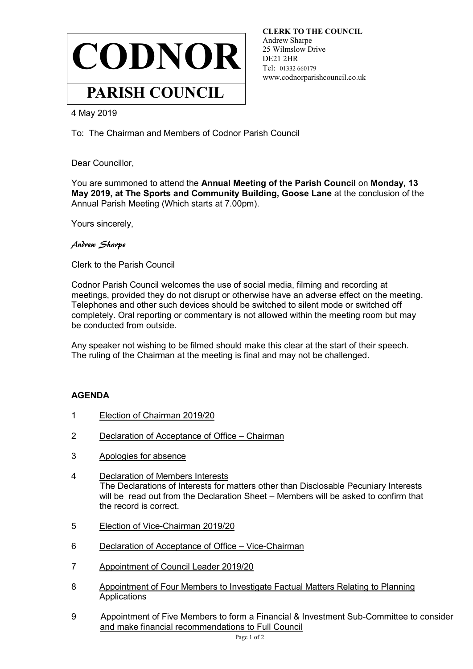

**CLERK TO THE COUNCIL** Andrew Sharpe 25 Wilmslow Drive DE21 2HR Tel: 01332 660179 www.codnorparishcouncil.co.uk

4 May 2019

To: The Chairman and Members of Codnor Parish Council

Dear Councillor,

You are summoned to attend the **Annual Meeting of the Parish Council** on **Monday, 13 May 2019, at The Sports and Community Building, Goose Lane** at the conclusion of the Annual Parish Meeting (Which starts at 7.00pm).

Yours sincerely,

Andrew Sharpe

Clerk to the Parish Council

Codnor Parish Council welcomes the use of social media, filming and recording at meetings, provided they do not disrupt or otherwise have an adverse effect on the meeting. Telephones and other such devices should be switched to silent mode or switched off completely. Oral reporting or commentary is not allowed within the meeting room but may be conducted from outside.

Any speaker not wishing to be filmed should make this clear at the start of their speech. The ruling of the Chairman at the meeting is final and may not be challenged.

#### **AGENDA**

- 1 Election of Chairman 2019/20
- 2 Declaration of Acceptance of Office Chairman
- 3 Apologies for absence
- 4 Declaration of Members Interests The Declarations of Interests for matters other than Disclosable Pecuniary Interests will be read out from the Declaration Sheet – Members will be asked to confirm that the record is correct.
- 5 Election of Vice-Chairman 2019/20
- 6 Declaration of Acceptance of Office Vice-Chairman
- 7 Appointment of Council Leader 2019/20
- 8 Appointment of Four Members to Investigate Factual Matters Relating to Planning **Applications**
- 9 Appointment of Five Members to form a Financial & Investment Sub-Committee to consider and make financial recommendations to Full Council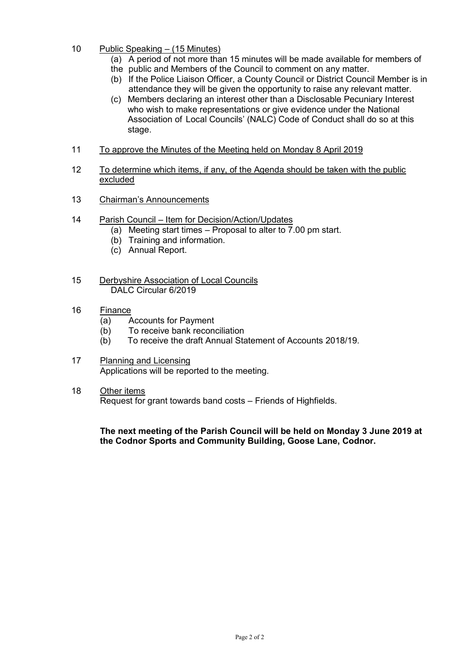- 10 Public Speaking (15 Minutes)
	- (a) A period of not more than 15 minutes will be made available for members of
	- the public and Members of the Council to comment on any matter.
	- (b) If the Police Liaison Officer, a County Council or District Council Member is in attendance they will be given the opportunity to raise any relevant matter.
	- (c) Members declaring an interest other than a Disclosable Pecuniary Interest who wish to make representations or give evidence under the National Association of Local Councils' (NALC) Code of Conduct shall do so at this stage.
- 11 To approve the Minutes of the Meeting held on Monday 8 April 2019
- 12 To determine which items, if any, of the Agenda should be taken with the public excluded
- 13 Chairman's Announcements
- 14 Parish Council Item for Decision/Action/Updates
	- (a) Meeting start times Proposal to alter to 7.00 pm start.
	- (b) Training and information.
	- (c) Annual Report.
- 15 Derbyshire Association of Local Councils DALC Circular 6/2019
- 16 Finance
	- (a) Accounts for Payment
	- (b) To receive bank reconciliation
	- (b) To receive the draft Annual Statement of Accounts 2018/19.
- 17 Planning and Licensing Applications will be reported to the meeting.
- 18 Other items

Request for grant towards band costs – Friends of Highfields.

**The next meeting of the Parish Council will be held on Monday 3 June 2019 at the Codnor Sports and Community Building, Goose Lane, Codnor.**